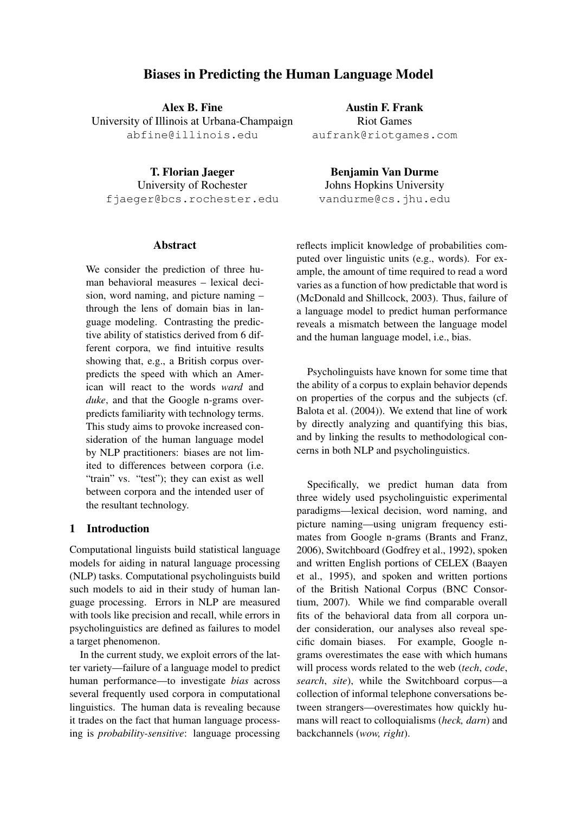# Biases in Predicting the Human Language Model

Alex B. Fine University of Illinois at Urbana-Champaign abfine@illinois.edu

T. Florian Jaeger University of Rochester fjaeger@bcs.rochester.edu

# **Abstract**

We consider the prediction of three human behavioral measures – lexical decision, word naming, and picture naming – through the lens of domain bias in language modeling. Contrasting the predictive ability of statistics derived from 6 different corpora, we find intuitive results showing that, e.g., a British corpus overpredicts the speed with which an American will react to the words *ward* and *duke*, and that the Google n-grams overpredicts familiarity with technology terms. This study aims to provoke increased consideration of the human language model by NLP practitioners: biases are not limited to differences between corpora (i.e. "train" vs. "test"); they can exist as well between corpora and the intended user of the resultant technology.

# 1 Introduction

Computational linguists build statistical language models for aiding in natural language processing (NLP) tasks. Computational psycholinguists build such models to aid in their study of human language processing. Errors in NLP are measured with tools like precision and recall, while errors in psycholinguistics are defined as failures to model a target phenomenon.

In the current study, we exploit errors of the latter variety—failure of a language model to predict human performance—to investigate *bias* across several frequently used corpora in computational linguistics. The human data is revealing because it trades on the fact that human language processing is *probability-sensitive*: language processing

Austin F. Frank Riot Games aufrank@riotgames.com

Benjamin Van Durme Johns Hopkins University vandurme@cs.jhu.edu

reflects implicit knowledge of probabilities computed over linguistic units (e.g., words). For example, the amount of time required to read a word varies as a function of how predictable that word is (McDonald and Shillcock, 2003). Thus, failure of a language model to predict human performance reveals a mismatch between the language model and the human language model, i.e., bias.

Psycholinguists have known for some time that the ability of a corpus to explain behavior depends on properties of the corpus and the subjects (cf. Balota et al. (2004)). We extend that line of work by directly analyzing and quantifying this bias, and by linking the results to methodological concerns in both NLP and psycholinguistics.

Specifically, we predict human data from three widely used psycholinguistic experimental paradigms—lexical decision, word naming, and picture naming—using unigram frequency estimates from Google n-grams (Brants and Franz, 2006), Switchboard (Godfrey et al., 1992), spoken and written English portions of CELEX (Baayen et al., 1995), and spoken and written portions of the British National Corpus (BNC Consortium, 2007). While we find comparable overall fits of the behavioral data from all corpora under consideration, our analyses also reveal specific domain biases. For example, Google ngrams overestimates the ease with which humans will process words related to the web (*tech*, *code*, *search*, *site*), while the Switchboard corpus—a collection of informal telephone conversations between strangers—overestimates how quickly humans will react to colloquialisms (*heck, darn*) and backchannels (*wow, right*).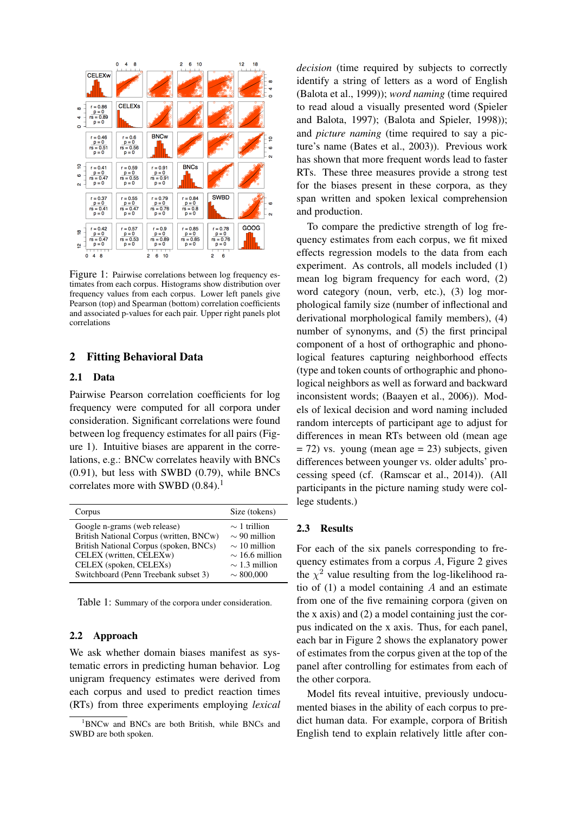

Figure 1: Pairwise correlations between log frequency estimates from each corpus. Histograms show distribution over frequency values from each corpus. Lower left panels give Pearson (top) and Spearman (bottom) correlation coefficients and associated p-values for each pair. Upper right panels plot correlations

# 2 Fitting Behavioral Data

#### 2.1 Data

Pairwise Pearson correlation coefficients for log frequency were computed for all corpora under consideration. Significant correlations were found between log frequency estimates for all pairs (Figure 1). Intuitive biases are apparent in the correlations, e.g.: BNCw correlates heavily with BNCs (0.91), but less with SWBD (0.79), while BNCs correlates more with SWBD  $(0.84)$ .<sup>1</sup>

| Corpus                                                                                                                                                                                                         | Size (tokens)                                                                                                              |
|----------------------------------------------------------------------------------------------------------------------------------------------------------------------------------------------------------------|----------------------------------------------------------------------------------------------------------------------------|
| Google n-grams (web release)<br>British National Corpus (written, BNCw)<br>British National Corpus (spoken, BNCs)<br>CELEX (written, CELEXw)<br>CELEX (spoken, CELEXs)<br>Switchboard (Penn Treebank subset 3) | $\sim$ 1 trillion<br>$\sim$ 90 million<br>$\sim$ 10 million<br>$\sim$ 16.6 million<br>$\sim$ 1.3 million<br>$\sim 800,000$ |

Table 1: Summary of the corpora under consideration.

#### 2.2 Approach

We ask whether domain biases manifest as systematic errors in predicting human behavior. Log unigram frequency estimates were derived from each corpus and used to predict reaction times (RTs) from three experiments employing *lexical* *decision* (time required by subjects to correctly identify a string of letters as a word of English (Balota et al., 1999)); *word naming* (time required to read aloud a visually presented word (Spieler and Balota, 1997); (Balota and Spieler, 1998)); and *picture naming* (time required to say a picture's name (Bates et al., 2003)). Previous work has shown that more frequent words lead to faster RTs. These three measures provide a strong test for the biases present in these corpora, as they span written and spoken lexical comprehension and production.

To compare the predictive strength of log frequency estimates from each corpus, we fit mixed effects regression models to the data from each experiment. As controls, all models included (1) mean log bigram frequency for each word, (2) word category (noun, verb, etc.), (3) log morphological family size (number of inflectional and derivational morphological family members), (4) number of synonyms, and (5) the first principal component of a host of orthographic and phonological features capturing neighborhood effects (type and token counts of orthographic and phonological neighbors as well as forward and backward inconsistent words; (Baayen et al., 2006)). Models of lexical decision and word naming included random intercepts of participant age to adjust for differences in mean RTs between old (mean age  $= 72$ ) vs. young (mean age  $= 23$ ) subjects, given differences between younger vs. older adults' processing speed (cf. (Ramscar et al., 2014)). (All participants in the picture naming study were college students.)

# 2.3 Results

For each of the six panels corresponding to frequency estimates from a corpus A, Figure 2 gives the  $\chi^2$  value resulting from the log-likelihood ratio of  $(1)$  a model containing A and an estimate from one of the five remaining corpora (given on the x axis) and (2) a model containing just the corpus indicated on the x axis. Thus, for each panel, each bar in Figure 2 shows the explanatory power of estimates from the corpus given at the top of the panel after controlling for estimates from each of the other corpora.

Model fits reveal intuitive, previously undocumented biases in the ability of each corpus to predict human data. For example, corpora of British English tend to explain relatively little after con-

 $1BNCw$  and BNCs are both British, while BNCs and SWBD are both spoken.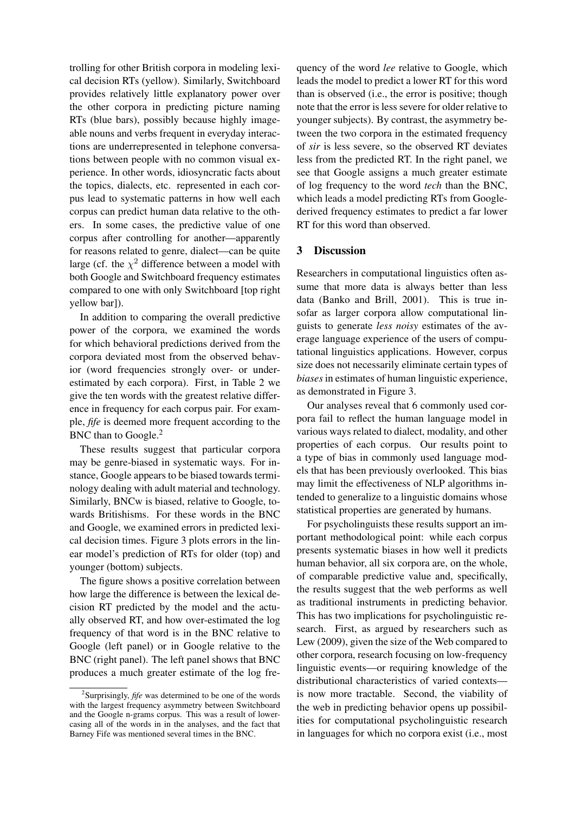trolling for other British corpora in modeling lexical decision RTs (yellow). Similarly, Switchboard provides relatively little explanatory power over the other corpora in predicting picture naming RTs (blue bars), possibly because highly imageable nouns and verbs frequent in everyday interactions are underrepresented in telephone conversations between people with no common visual experience. In other words, idiosyncratic facts about the topics, dialects, etc. represented in each corpus lead to systematic patterns in how well each corpus can predict human data relative to the others. In some cases, the predictive value of one corpus after controlling for another—apparently for reasons related to genre, dialect—can be quite large (cf. the  $\chi^2$  difference between a model with both Google and Switchboard frequency estimates compared to one with only Switchboard [top right yellow bar]).

In addition to comparing the overall predictive power of the corpora, we examined the words for which behavioral predictions derived from the corpora deviated most from the observed behavior (word frequencies strongly over- or underestimated by each corpora). First, in Table 2 we give the ten words with the greatest relative difference in frequency for each corpus pair. For example, *fife* is deemed more frequent according to the BNC than to Google.<sup>2</sup>

These results suggest that particular corpora may be genre-biased in systematic ways. For instance, Google appears to be biased towards terminology dealing with adult material and technology. Similarly, BNCw is biased, relative to Google, towards Britishisms. For these words in the BNC and Google, we examined errors in predicted lexical decision times. Figure 3 plots errors in the linear model's prediction of RTs for older (top) and younger (bottom) subjects.

The figure shows a positive correlation between how large the difference is between the lexical decision RT predicted by the model and the actually observed RT, and how over-estimated the log frequency of that word is in the BNC relative to Google (left panel) or in Google relative to the BNC (right panel). The left panel shows that BNC produces a much greater estimate of the log fre-

quency of the word *lee* relative to Google, which leads the model to predict a lower RT for this word than is observed (i.e., the error is positive; though note that the error is less severe for older relative to younger subjects). By contrast, the asymmetry between the two corpora in the estimated frequency of *sir* is less severe, so the observed RT deviates less from the predicted RT. In the right panel, we see that Google assigns a much greater estimate of log frequency to the word *tech* than the BNC, which leads a model predicting RTs from Googlederived frequency estimates to predict a far lower RT for this word than observed.

# 3 Discussion

Researchers in computational linguistics often assume that more data is always better than less data (Banko and Brill, 2001). This is true insofar as larger corpora allow computational linguists to generate *less noisy* estimates of the average language experience of the users of computational linguistics applications. However, corpus size does not necessarily eliminate certain types of *biases*in estimates of human linguistic experience, as demonstrated in Figure 3.

Our analyses reveal that 6 commonly used corpora fail to reflect the human language model in various ways related to dialect, modality, and other properties of each corpus. Our results point to a type of bias in commonly used language models that has been previously overlooked. This bias may limit the effectiveness of NLP algorithms intended to generalize to a linguistic domains whose statistical properties are generated by humans.

For psycholinguists these results support an important methodological point: while each corpus presents systematic biases in how well it predicts human behavior, all six corpora are, on the whole, of comparable predictive value and, specifically, the results suggest that the web performs as well as traditional instruments in predicting behavior. This has two implications for psycholinguistic research. First, as argued by researchers such as Lew (2009), given the size of the Web compared to other corpora, research focusing on low-frequency linguistic events—or requiring knowledge of the distributional characteristics of varied contexts is now more tractable. Second, the viability of the web in predicting behavior opens up possibilities for computational psycholinguistic research in languages for which no corpora exist (i.e., most

<sup>2</sup> Surprisingly, *fife* was determined to be one of the words with the largest frequency asymmetry between Switchboard and the Google n-grams corpus. This was a result of lowercasing all of the words in in the analyses, and the fact that Barney Fife was mentioned several times in the BNC.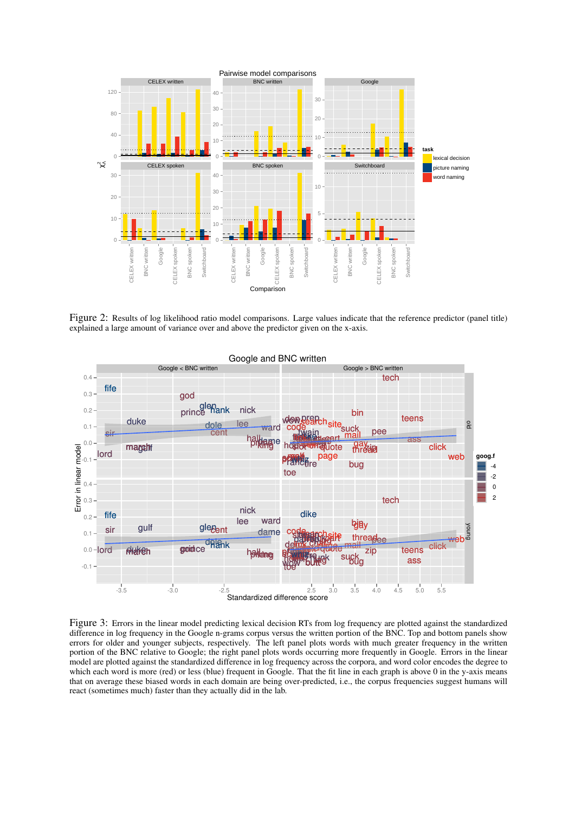

Figure 2: Results of log likelihood ratio model comparisons. Large values indicate that the reference predictor (panel title) explained a large amount of variance over and above the predictor given on the x-axis.



Figure 3: Errors in the linear model predicting lexical decision RTs from log frequency are plotted against the standardized difference in log frequency in the Google n-grams corpus versus the written portion of the BNC. Top and bottom panels show errors for older and younger subjects, respectively. The left panel plots words with much greater frequency in the written portion of the BNC relative to Google; the right panel plots words occurring more frequently in Google. Errors in the linear model are plotted against the standardized difference in log frequency across the corpora, and word color encodes the degree to which each word is more (red) or less (blue) frequent in Google. That the fit line in each graph is above 0 in the y-axis means that on average these biased words in each domain are being over-predicted, i.e., the corpus frequencies suggest humans will react (sometimes much) faster than they actually did in the lab.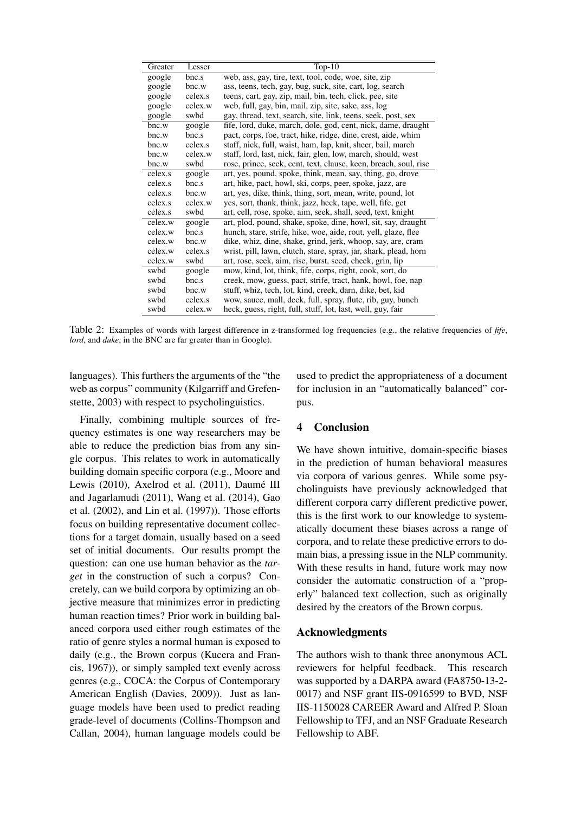| Greater | Lesser  | Top- $10$                                                        |
|---------|---------|------------------------------------------------------------------|
| google  | bnc.s   | web, ass, gay, tire, text, tool, code, woe, site, zip            |
| google  | bnc.w   | ass, teens, tech, gay, bug, suck, site, cart, log, search        |
| google  | celex.s | teens, cart, gay, zip, mail, bin, tech, click, pee, site         |
| google  | celex.w | web, full, gay, bin, mail, zip, site, sake, ass, log             |
| google  | swbd    | gay, thread, text, search, site, link, teens, seek, post, sex    |
| bnc.w   | google  | fife, lord, duke, march, dole, god, cent, nick, dame, draught    |
| bnc.w   | bnc.s   | pact, corps, foe, tract, hike, ridge, dine, crest, aide, whim    |
| bnc.w   | celex.s | staff, nick, full, waist, ham, lap, knit, sheer, bail, march     |
| bnc.w   | celex.w | staff, lord, last, nick, fair, glen, low, march, should, west    |
| bnc.w   | swbd    | rose, prince, seek, cent, text, clause, keen, breach, soul, rise |
| celex.s | google  | art, yes, pound, spoke, think, mean, say, thing, go, drove       |
| celex.s | bnc.s   | art, hike, pact, howl, ski, corps, peer, spoke, jazz, are        |
| celex.s | bnc.w   | art, yes, dike, think, thing, sort, mean, write, pound, lot      |
| celex.s | celex.w | yes, sort, thank, think, jazz, heck, tape, well, fife, get       |
| celex.s | swbd    | art, cell, rose, spoke, aim, seek, shall, seed, text, knight     |
| celex.w | google  | art, plod, pound, shake, spoke, dine, howl, sit, say, draught    |
| celex.w | bnc.s   | hunch, stare, strife, hike, woe, aide, rout, yell, glaze, flee   |
| celex.w | bnc.w   | dike, whiz, dine, shake, grind, jerk, whoop, say, are, cram      |
| celex.w | celex.s | wrist, pill, lawn, clutch, stare, spray, jar, shark, plead, horn |
| celex.w | swbd    | art, rose, seek, aim, rise, burst, seed, cheek, grin, lip        |
| swbd    | google  | mow, kind, lot, think, fife, corps, right, cook, sort, do        |
| swbd    | bnc.s   | creek, mow, guess, pact, strife, tract, hank, howl, foe, nap     |
| swbd    | bnc.w   | stuff, whiz, tech, lot, kind, creek, darn, dike, bet, kid        |
| swbd    | celex.s | wow, sauce, mall, deck, full, spray, flute, rib, guy, bunch      |
| swbd    | celex.w | heck, guess, right, full, stuff, lot, last, well, guy, fair      |

Table 2: Examples of words with largest difference in z-transformed log frequencies (e.g., the relative frequencies of *fife*, *lord*, and *duke*, in the BNC are far greater than in Google).

languages). This furthers the arguments of the "the web as corpus" community (Kilgarriff and Grefenstette, 2003) with respect to psycholinguistics.

Finally, combining multiple sources of frequency estimates is one way researchers may be able to reduce the prediction bias from any single corpus. This relates to work in automatically building domain specific corpora (e.g., Moore and Lewis (2010), Axelrod et al. (2011), Daumé III and Jagarlamudi (2011), Wang et al. (2014), Gao et al. (2002), and Lin et al. (1997)). Those efforts focus on building representative document collections for a target domain, usually based on a seed set of initial documents. Our results prompt the question: can one use human behavior as the *target* in the construction of such a corpus? Concretely, can we build corpora by optimizing an objective measure that minimizes error in predicting human reaction times? Prior work in building balanced corpora used either rough estimates of the ratio of genre styles a normal human is exposed to daily (e.g., the Brown corpus (Kucera and Francis, 1967)), or simply sampled text evenly across genres (e.g., COCA: the Corpus of Contemporary American English (Davies, 2009)). Just as language models have been used to predict reading grade-level of documents (Collins-Thompson and Callan, 2004), human language models could be

used to predict the appropriateness of a document for inclusion in an "automatically balanced" corpus.

# 4 Conclusion

We have shown intuitive, domain-specific biases in the prediction of human behavioral measures via corpora of various genres. While some psycholinguists have previously acknowledged that different corpora carry different predictive power, this is the first work to our knowledge to systematically document these biases across a range of corpora, and to relate these predictive errors to domain bias, a pressing issue in the NLP community. With these results in hand, future work may now consider the automatic construction of a "properly" balanced text collection, such as originally desired by the creators of the Brown corpus.

# Acknowledgments

The authors wish to thank three anonymous ACL reviewers for helpful feedback. This research was supported by a DARPA award (FA8750-13-2- 0017) and NSF grant IIS-0916599 to BVD, NSF IIS-1150028 CAREER Award and Alfred P. Sloan Fellowship to TFJ, and an NSF Graduate Research Fellowship to ABF.